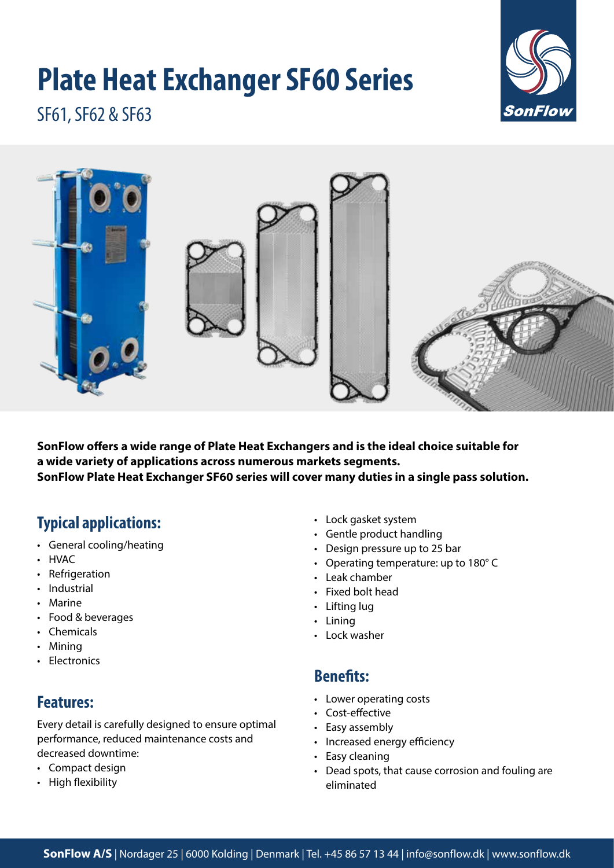# **Plate Heat Exchanger SF60 Series**



SF61, SF62 & SF63



**SonFlow offers a wide range of Plate Heat Exchangers and is the ideal choice suitable for a wide variety of applications across numerous markets segments. SonFlow Plate Heat Exchanger SF60 series will cover many duties in a single pass solution.** 

# **Typical applications:**

- General cooling/heating
- HVAC
- Refrigeration
- Industrial
- Marine
- Food & beverages
- Chemicals
- Mining
- Electronics

## **Features:**

Every detail is carefully designed to ensure optimal performance, reduced maintenance costs and decreased downtime:

- Compact design
- High flexibility
- Lock gasket system
- Gentle product handling
- Design pressure up to 25 bar
- Operating temperature: up to 180° C
- Leak chamber
- Fixed bolt head
- Lifting lug
- Lining
- Lock washer

## **Benefits:**

- Lower operating costs
- Cost-effective
- Easy assembly
- Increased energy efficiency
- Easy cleaning
- Dead spots, that cause corrosion and fouling are eliminated